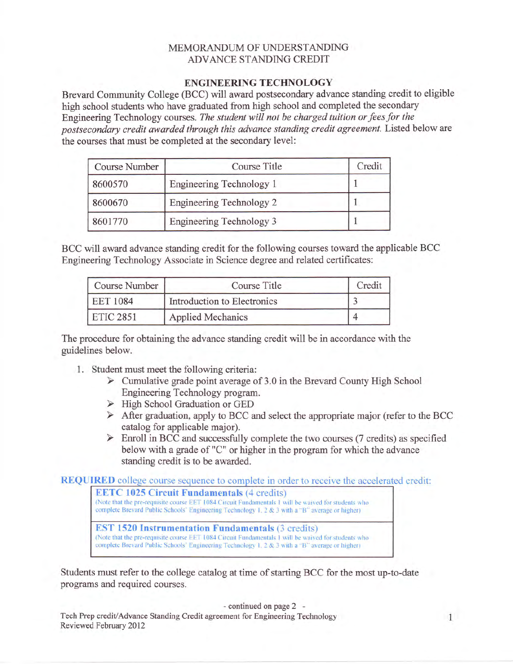## MEMORANDUM OF UNDERSTANDING ADVANCE STANDING CREDIT

## ENGINEERING TECHNOLOGY

Brevard Community College (BCC) will award postsecondary advance standing credit to eligible high school students who have graduated from high school and completed the secondary Engineering Technology courses. The student will not be charged tuition or fees for the postsecondary credit awarded through this advance standing credit agreement. Listed below are the courses that must be completed at the secondary level:

| Course Number | Course Title                    | Credit |
|---------------|---------------------------------|--------|
| 8600570       | Engineering Technology 1        |        |
| 8600670       | <b>Engineering Technology 2</b> |        |
| 8601770       | Engineering Technology 3        |        |

BCC will award advance standing credit for the following courses toward the applicable BCC Engineering Technology Associate in Science degree and related certificates:

| Course Number    | Course Title                | Credit |
|------------------|-----------------------------|--------|
| <b>EET 1084</b>  | Introduction to Electronics |        |
| <b>ETIC 2851</b> | <b>Applied Mechanics</b>    |        |

The procedure for obtaining the advance standing credit will be in accordance with the guidelines below.

- 1. Student must meet the following criteria:
	- $\triangleright$  Cumulative grade point average of 3.0 in the Brevard County High School Engineering Technology program.
	- $\triangleright$  High School Graduation or GED
	- $\triangleright$  After graduation, apply to BCC and select the appropriate major (refer to the BCC) catalog for applicable major).
	- $\triangleright$  Enroll in BCC and successfully complete the two courses (7 credits) as specified below with a grade of "C" or higher in the program for which the advance standing credit is to be awarded.

REQUTRED college course sequence to complete in order to receive the accelerated credit:



Students must refer to the college catalog at time of starting BCC for the most up-to-date programs and required courses.

- continued on page 2 -

Tech Prep credit/Advance Standing Credit agreement for Engineering Technology Reviewed February 2012